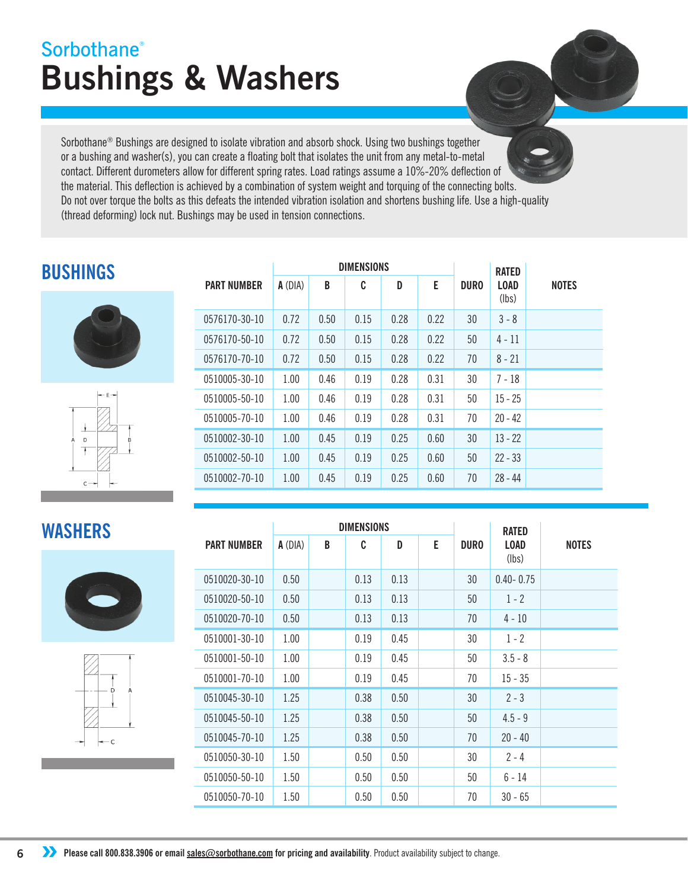# **Bushings & Washers Sorbothane®**

Sorbothane® Bushings are designed to isolate vibration and absorb shock. Using two bushings together or a bushing and washer(s), you can create a floating bolt that isolates the unit from any metal-to-metal contact. Different durometers allow for different spring rates. Load ratings assume a 10%-20% deflection of the material. This deflection is achieved by a combination of system weight and torquing of the connecting bolts. Do not over torque the bolts as this defeats the intended vibration isolation and shortens bushing life. Use a high-quality (thread deforming) lock nut. Bushings may be used in tension connections.

## **BUSHINGS**





|                    |           |      | <b>DIMENSIONS</b> |      |      | <b>RATED</b> |                      |              |
|--------------------|-----------|------|-------------------|------|------|--------------|----------------------|--------------|
| <b>PART NUMBER</b> | $A$ (DIA) | B    | C                 | D    | E    | <b>DURO</b>  | <b>LOAD</b><br>(lbs) | <b>NOTES</b> |
| 0576170-30-10      | 0.72      | 0.50 | 0.15              | 0.28 | 0.22 | 30           | $3 - 8$              |              |
| 0576170-50-10      | 0.72      | 0.50 | 0.15              | 0.28 | 0.22 | 50           | $4 - 11$             |              |
| 0576170-70-10      | 0.72      | 0.50 | 0.15              | 0.28 | 0.22 | 70           | $8 - 21$             |              |
| 0510005-30-10      | 1.00      | 0.46 | 0.19              | 0.28 | 0.31 | 30           | $7 - 18$             |              |
| 0510005-50-10      | 1.00      | 0.46 | 0.19              | 0.28 | 0.31 | 50           | $15 - 25$            |              |
| 0510005-70-10      | 1.00      | 0.46 | 0.19              | 0.28 | 0.31 | 70           | $20 - 42$            |              |
| 0510002-30-10      | 1.00      | 0.45 | 0.19              | 0.25 | 0.60 | 30           | $13 - 22$            |              |
| 0510002-50-10      | 1.00      | 0.45 | 0.19              | 0.25 | 0.60 | 50           | $22 - 33$            |              |
| 0510002-70-10      | 1.00      | 0.45 | 0.19              | 0.25 | 0.60 | 70           | $28 - 44$            |              |

## **WASHERS**





|                    |           |   | <b>DIMENSIONS</b> |      |   | <b>RATED</b> |                      |              |
|--------------------|-----------|---|-------------------|------|---|--------------|----------------------|--------------|
| <b>PART NUMBER</b> | $A$ (DIA) | B | C                 | D    | E | <b>DURO</b>  | <b>LOAD</b><br>(lbs) | <b>NOTES</b> |
| 0510020-30-10      | 0.50      |   | 0.13              | 0.13 |   | 30           | $0.40 - 0.75$        |              |
| 0510020-50-10      | 0.50      |   | 0.13              | 0.13 |   | 50           | $1 - 2$              |              |
| 0510020-70-10      | 0.50      |   | 0.13              | 0.13 |   | 70           | $4 - 10$             |              |
| 0510001-30-10      | 1.00      |   | 0.19              | 0.45 |   | 30           | $1 - 2$              |              |
| 0510001-50-10      | 1.00      |   | 0.19              | 0.45 |   | 50           | $3.5 - 8$            |              |
| 0510001-70-10      | 1.00      |   | 0.19              | 0.45 |   | 70           | $15 - 35$            |              |
| 0510045-30-10      | 1.25      |   | 0.38              | 0.50 |   | 30           | $2 - 3$              |              |
| 0510045-50-10      | 1.25      |   | 0.38              | 0.50 |   | 50           | $4.5 - 9$            |              |
| 0510045-70-10      | 1.25      |   | 0.38              | 0.50 |   | 70           | $20 - 40$            |              |
| 0510050-30-10      | 1.50      |   | 0.50              | 0.50 |   | 30           | $2 - 4$              |              |
| 0510050-50-10      | 1.50      |   | 0.50              | 0.50 |   | 50           | $6 - 14$             |              |
| 0510050-70-10      | 1.50      |   | 0.50              | 0.50 |   | 70           | $30 - 65$            |              |

**6 ••** Please call 800.838.3906 or email sales@sorbothane.com for pricing and availability. Product availability subject to change.